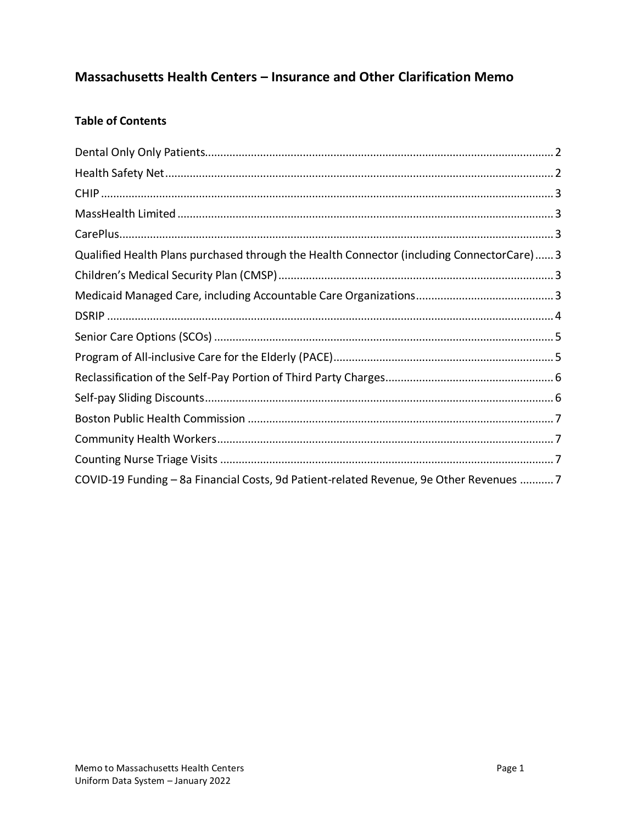# Massachusetts Health Centers - Insurance and Other Clarification Memo

# **Table of Contents**

| Qualified Health Plans purchased through the Health Connector (including ConnectorCare) 3 |  |
|-------------------------------------------------------------------------------------------|--|
|                                                                                           |  |
|                                                                                           |  |
|                                                                                           |  |
|                                                                                           |  |
|                                                                                           |  |
|                                                                                           |  |
|                                                                                           |  |
|                                                                                           |  |
|                                                                                           |  |
|                                                                                           |  |
| COVID-19 Funding - 8a Financial Costs, 9d Patient-related Revenue, 9e Other Revenues 7    |  |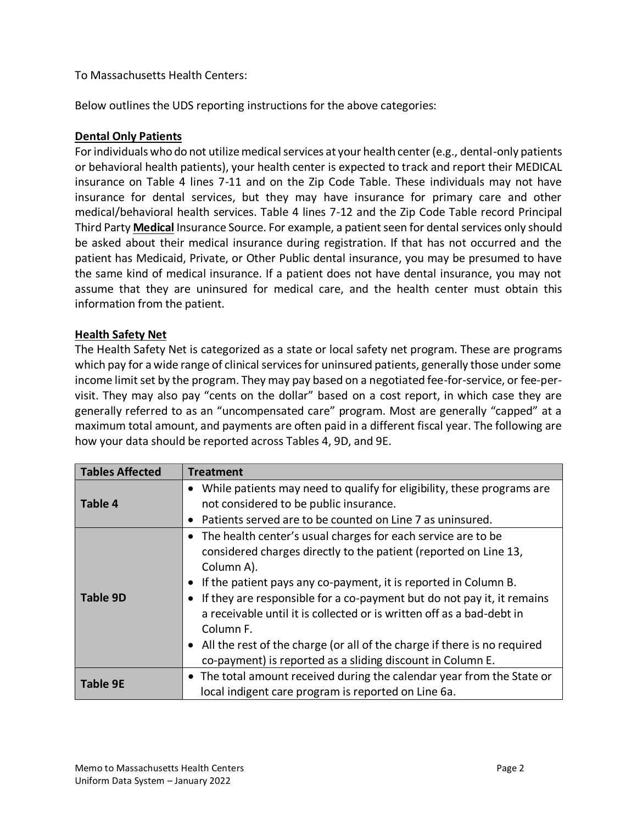### To Massachusetts Health Centers:

Below outlines the UDS reporting instructions for the above categories:

#### <span id="page-1-0"></span>**Dental Only Patients**

For individuals who do not utilize medical services at your health center (e.g., dental-only patients or behavioral health patients), your health center is expected to track and report their MEDICAL insurance on Table 4 lines 7-11 and on the Zip Code Table. These individuals may not have insurance for dental services, but they may have insurance for primary care and other medical/behavioral health services. Table 4 lines 7-12 and the Zip Code Table record Principal Third Party **Medical** Insurance Source. For example, a patient seen for dental services only should be asked about their medical insurance during registration. If that has not occurred and the patient has Medicaid, Private, or Other Public dental insurance, you may be presumed to have the same kind of medical insurance. If a patient does not have dental insurance, you may not assume that they are uninsured for medical care, and the health center must obtain this information from the patient.

#### <span id="page-1-1"></span>**Health Safety Net**

The Health Safety Net is categorized as a state or local safety net program. These are programs which pay for a wide range of clinical services for uninsured patients, generally those under some income limit set by the program. They may pay based on a negotiated fee-for-service, or fee-pervisit. They may also pay "cents on the dollar" based on a cost report, in which case they are generally referred to as an "uncompensated care" program. Most are generally "capped" at a maximum total amount, and payments are often paid in a different fiscal year. The following are how your data should be reported across Tables 4, 9D, and 9E.

| <b>Tables Affected</b> | <b>Treatment</b>                                                                                                                                                                                                                                                                                                                                                                                                                                                                                                                                      |
|------------------------|-------------------------------------------------------------------------------------------------------------------------------------------------------------------------------------------------------------------------------------------------------------------------------------------------------------------------------------------------------------------------------------------------------------------------------------------------------------------------------------------------------------------------------------------------------|
| <b>Table 4</b>         | While patients may need to qualify for eligibility, these programs are<br>$\bullet$<br>not considered to be public insurance.<br>Patients served are to be counted on Line 7 as uninsured.                                                                                                                                                                                                                                                                                                                                                            |
| <b>Table 9D</b>        | The health center's usual charges for each service are to be<br>$\bullet$<br>considered charges directly to the patient (reported on Line 13,<br>Column A).<br>If the patient pays any co-payment, it is reported in Column B.<br>If they are responsible for a co-payment but do not pay it, it remains<br>a receivable until it is collected or is written off as a bad-debt in<br>Column <sub>F.</sub><br>• All the rest of the charge (or all of the charge if there is no required<br>co-payment) is reported as a sliding discount in Column E. |
| <b>Table 9E</b>        | • The total amount received during the calendar year from the State or<br>local indigent care program is reported on Line 6a.                                                                                                                                                                                                                                                                                                                                                                                                                         |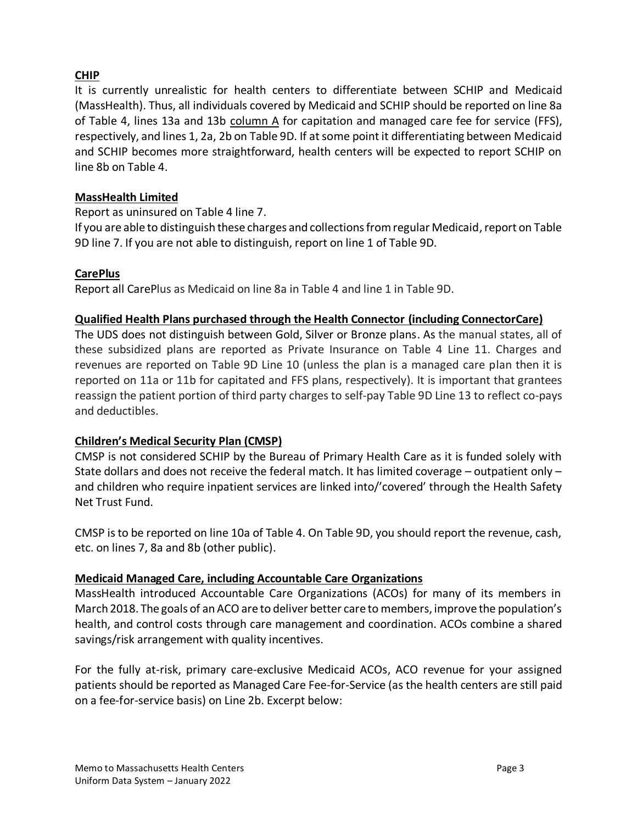# <span id="page-2-0"></span>**CHIP**

It is currently unrealistic for health centers to differentiate between SCHIP and Medicaid (MassHealth). Thus, all individuals covered by Medicaid and SCHIP should be reported on line 8a of Table 4, lines 13a and 13b column A for capitation and managed care fee for service (FFS), respectively, and lines 1, 2a, 2b on Table 9D. If at some point it differentiating between Medicaid and SCHIP becomes more straightforward, health centers will be expected to report SCHIP on line 8b on Table 4.

#### <span id="page-2-1"></span>**MassHealth Limited**

Report as uninsured on Table 4 line 7.

If you are able to distinguish these charges and collections from regular Medicaid, report on Table 9D line 7. If you are not able to distinguish, report on line 1 of Table 9D.

#### <span id="page-2-2"></span>**CarePlus**

Report all CarePlus as Medicaid on line 8a in Table 4 and line 1 in Table 9D.

#### <span id="page-2-3"></span>**Qualified Health Plans purchased through the Health Connector (including ConnectorCare)**

The UDS does not distinguish between Gold, Silver or Bronze plans. As the manual states, all of these subsidized plans are reported as Private Insurance on Table 4 Line 11. Charges and revenues are reported on Table 9D Line 10 (unless the plan is a managed care plan then it is reported on 11a or 11b for capitated and FFS plans, respectively). It is important that grantees reassign the patient portion of third party charges to self-pay Table 9D Line 13 to reflect co-pays and deductibles.

### <span id="page-2-4"></span>**Children's Medical Security Plan (CMSP)**

CMSP is not considered SCHIP by the Bureau of Primary Health Care as it is funded solely with State dollars and does not receive the federal match. It has limited coverage – outpatient only – and children who require inpatient services are linked into/'covered' through the Health Safety Net Trust Fund.

CMSP is to be reported on line 10a of Table 4. On Table 9D, you should report the revenue, cash, etc. on lines 7, 8a and 8b (other public).

#### <span id="page-2-5"></span>**Medicaid Managed Care, including Accountable Care Organizations**

MassHealth introduced Accountable Care Organizations (ACOs) for many of its members in March 2018. The goals of an ACO are to deliver better care to members, improve the population's health, and control costs through care management and coordination. ACOs combine a shared savings/risk arrangement with quality incentives.

For the fully at-risk, primary care-exclusive Medicaid ACOs, ACO revenue for your assigned patients should be reported as Managed Care Fee-for-Service (as the health centers are still paid on a fee-for-service basis) on Line 2b. Excerpt below: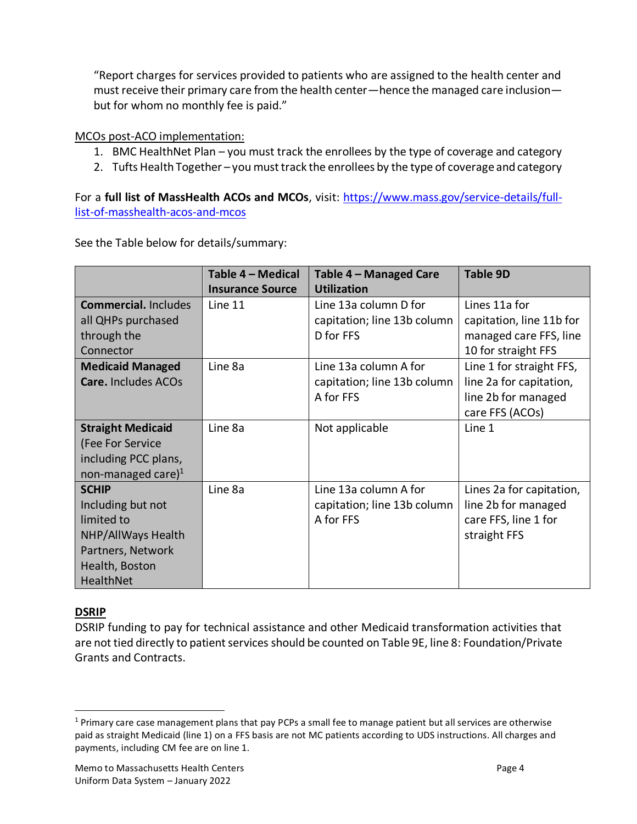"Report charges for services provided to patients who are assigned to the health center and must receive their primary care from the health center—hence the managed care inclusion but for whom no monthly fee is paid."

MCOs post-ACO implementation:

- 1. BMC HealthNet Plan you must track the enrollees by the type of coverage and category
- 2. Tufts Health Together you must track the enrollees by the type of coverage and category

For a full list of MassHealth ACOs and MCOs, visit: [https://www.mass.gov/service-details/full](https://www.mass.gov/service-details/full-list-of-masshealth-acos-and-mcos)[list-of-masshealth-acos-and-mcos](https://www.mass.gov/service-details/full-list-of-masshealth-acos-and-mcos)

See the Table below for details/summary:

|                             | Table 4 - Medical       | Table 4 - Managed Care      | <b>Table 9D</b>          |
|-----------------------------|-------------------------|-----------------------------|--------------------------|
|                             | <b>Insurance Source</b> | <b>Utilization</b>          |                          |
| <b>Commercial. Includes</b> | Line 11                 | Line 13a column D for       | Lines 11a for            |
| all QHPs purchased          |                         | capitation; line 13b column | capitation, line 11b for |
| through the                 |                         | D for FFS                   | managed care FFS, line   |
| Connector                   |                         |                             | 10 for straight FFS      |
| <b>Medicaid Managed</b>     | Line 8a                 | Line 13a column A for       | Line 1 for straight FFS, |
| Care. Includes ACOs         |                         | capitation; line 13b column | line 2a for capitation,  |
|                             |                         | A for FFS                   | line 2b for managed      |
|                             |                         |                             | care FFS (ACOs)          |
| <b>Straight Medicaid</b>    | Line 8a                 | Not applicable              | Line 1                   |
| (Fee For Service            |                         |                             |                          |
| including PCC plans,        |                         |                             |                          |
| non-managed care) $1$       |                         |                             |                          |
| <b>SCHIP</b>                | Line 8a                 | Line 13a column A for       | Lines 2a for capitation, |
| Including but not           |                         | capitation; line 13b column | line 2b for managed      |
| limited to                  |                         | A for FFS                   | care FFS, line 1 for     |
| NHP/AllWays Health          |                         |                             | straight FFS             |
| Partners, Network           |                         |                             |                          |
| Health, Boston              |                         |                             |                          |
| HealthNet                   |                         |                             |                          |

### <span id="page-3-0"></span>**DSRIP**

DSRIP funding to pay for technical assistance and other Medicaid transformation activities that are not tied directly to patient services should be counted on Table 9E, line 8: Foundation/Private Grants and Contracts.

<sup>&</sup>lt;sup>1</sup> Primary care case management plans that pay PCPs a small fee to manage patient but all services are otherwise paid as straight Medicaid (line 1) on a FFS basis are not MC patients according to UDS instructions. All charges and payments, including CM fee are on line 1.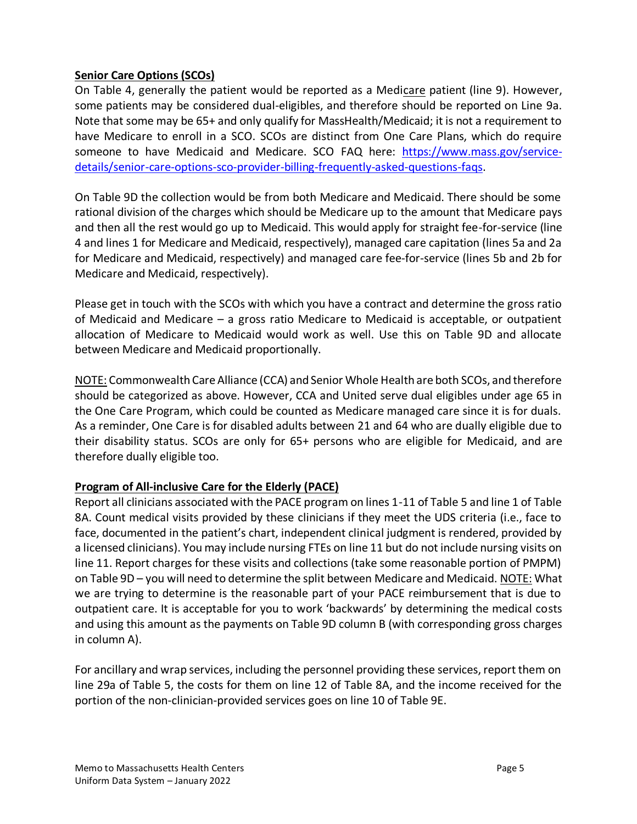### <span id="page-4-0"></span>**Senior Care Options (SCOs)**

On Table 4, generally the patient would be reported as a Medicare patient (line 9). However, some patients may be considered dual-eligibles, and therefore should be reported on Line 9a. Note that some may be 65+ and only qualify for MassHealth/Medicaid; it is not a requirement to have Medicare to enroll in a SCO. SCOs are distinct from One Care Plans, which do require someone to have Medicaid and Medicare. SCO FAQ here: [https://www.mass.gov/service](https://www.mass.gov/service-details/senior-care-options-sco-provider-billing-frequently-asked-questions-faqs)[details/senior-care-options-sco-provider-billing-frequently-asked-questions-faqs.](https://www.mass.gov/service-details/senior-care-options-sco-provider-billing-frequently-asked-questions-faqs)

On Table 9D the collection would be from both Medicare and Medicaid. There should be some rational division of the charges which should be Medicare up to the amount that Medicare pays and then all the rest would go up to Medicaid. This would apply for straight fee-for-service (line 4 and lines 1 for Medicare and Medicaid, respectively), managed care capitation (lines 5a and 2a for Medicare and Medicaid, respectively) and managed care fee-for-service (lines 5b and 2b for Medicare and Medicaid, respectively).

Please get in touch with the SCOs with which you have a contract and determine the gross ratio of Medicaid and Medicare – a gross ratio Medicare to Medicaid is acceptable, or outpatient allocation of Medicare to Medicaid would work as well. Use this on Table 9D and allocate between Medicare and Medicaid proportionally.

NOTE: Commonwealth Care Alliance (CCA) and Senior Whole Health are both SCOs, and therefore should be categorized as above. However, CCA and United serve dual eligibles under age 65 in the One Care Program, which could be counted as Medicare managed care since it is for duals. As a reminder, One Care is for disabled adults between 21 and 64 who are dually eligible due to their disability status. SCOs are only for 65+ persons who are eligible for Medicaid, and are therefore dually eligible too.

### <span id="page-4-1"></span>**Program of All-inclusive Care for the Elderly (PACE)**

Report all clinicians associated with the PACE program on lines 1-11 of Table 5 and line 1 of Table 8A. Count medical visits provided by these clinicians if they meet the UDS criteria (i.e., face to face, documented in the patient's chart, independent clinical judgment is rendered, provided by a licensed clinicians). You may include nursing FTEs on line 11 but do not include nursing visits on line 11. Report charges for these visits and collections (take some reasonable portion of PMPM) on Table 9D – you will need to determine the split between Medicare and Medicaid. NOTE: What we are trying to determine is the reasonable part of your PACE reimbursement that is due to outpatient care. It is acceptable for you to work 'backwards' by determining the medical costs and using this amount as the payments on Table 9D column B (with corresponding gross charges in column A).

For ancillary and wrap services, including the personnel providing these services, report them on line 29a of Table 5, the costs for them on line 12 of Table 8A, and the income received for the portion of the non-clinician-provided services goes on line 10 of Table 9E.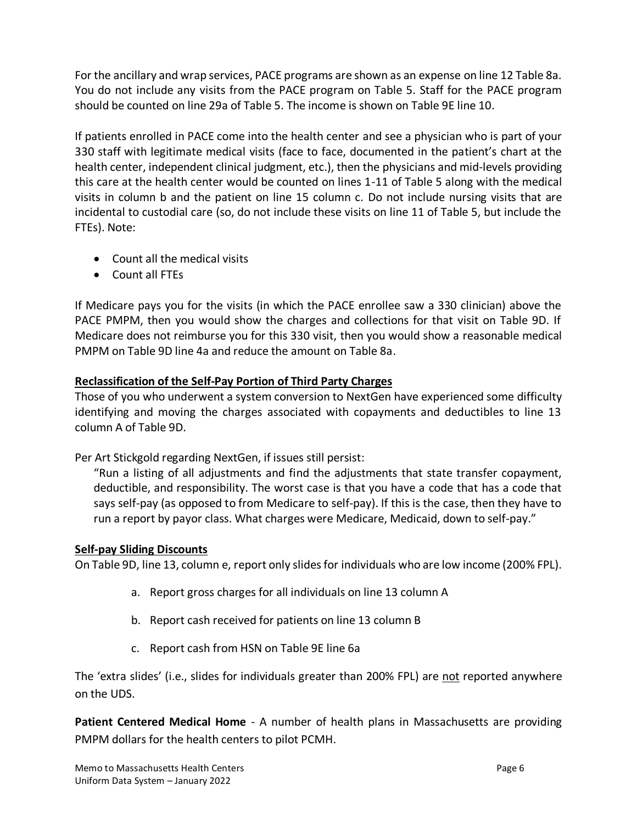For the ancillary and wrap services, PACE programs are shown as an expense on line 12 Table 8a. You do not include any visits from the PACE program on Table 5. Staff for the PACE program should be counted on line 29a of Table 5. The income is shown on Table 9E line 10.

If patients enrolled in PACE come into the health center and see a physician who is part of your 330 staff with legitimate medical visits (face to face, documented in the patient's chart at the health center, independent clinical judgment, etc.), then the physicians and mid-levels providing this care at the health center would be counted on lines 1-11 of Table 5 along with the medical visits in column b and the patient on line 15 column c. Do not include nursing visits that are incidental to custodial care (so, do not include these visits on line 11 of Table 5, but include the FTEs). Note:

- Count all the medical visits
- Count all FTEs

If Medicare pays you for the visits (in which the PACE enrollee saw a 330 clinician) above the PACE PMPM, then you would show the charges and collections for that visit on Table 9D. If Medicare does not reimburse you for this 330 visit, then you would show a reasonable medical PMPM on Table 9D line 4a and reduce the amount on Table 8a.

### <span id="page-5-0"></span>**Reclassification of the Self-Pay Portion of Third Party Charges**

Those of you who underwent a system conversion to NextGen have experienced some difficulty identifying and moving the charges associated with copayments and deductibles to line 13 column A of Table 9D.

Per Art Stickgold regarding NextGen, if issues still persist:

"Run a listing of all adjustments and find the adjustments that state transfer copayment, deductible, and responsibility. The worst case is that you have a code that has a code that says self-pay (as opposed to from Medicare to self-pay). If this is the case, then they have to run a report by payor class. What charges were Medicare, Medicaid, down to self-pay."

### <span id="page-5-1"></span>**Self-pay Sliding Discounts**

On Table 9D, line 13, column e, report only slides for individuals who are low income (200% FPL).

- a. Report gross charges for all individuals on line 13 column A
- b. Report cash received for patients on line 13 column B
- c. Report cash from HSN on Table 9E line 6a

The 'extra slides' (i.e., slides for individuals greater than 200% FPL) are not reported anywhere on the UDS.

**Patient Centered Medical Home** - A number of health plans in Massachusetts are providing PMPM dollars for the health centers to pilot PCMH.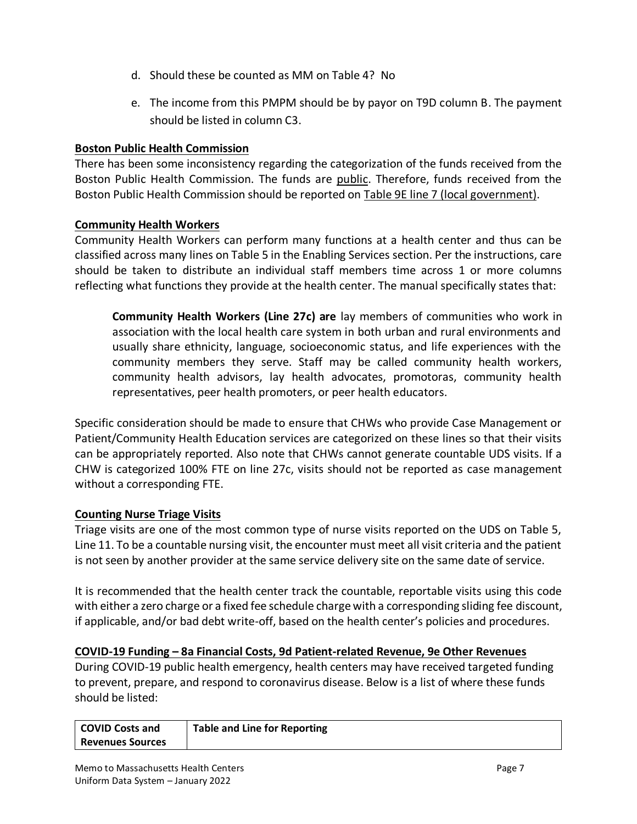- d. Should these be counted as MM on Table 4? No
- e. The income from this PMPM should be by payor on T9D column B. The payment should be listed in column C3.

### <span id="page-6-0"></span>**Boston Public Health Commission**

There has been some inconsistency regarding the categorization of the funds received from the Boston Public Health Commission. The funds are public. Therefore, funds received from the Boston Public Health Commission should be reported on Table 9E line 7 (local government).

## <span id="page-6-1"></span>**Community Health Workers**

Community Health Workers can perform many functions at a health center and thus can be classified across many lines on Table 5 in the Enabling Services section. Per the instructions, care should be taken to distribute an individual staff members time across 1 or more columns reflecting what functions they provide at the health center. The manual specifically states that:

**Community Health Workers (Line 27c) are** lay members of communities who work in association with the local health care system in both urban and rural environments and usually share ethnicity, language, socioeconomic status, and life experiences with the community members they serve. Staff may be called community health workers, community health advisors, lay health advocates, promotoras, community health representatives, peer health promoters, or peer health educators.

Specific consideration should be made to ensure that CHWs who provide Case Management or Patient/Community Health Education services are categorized on these lines so that their visits can be appropriately reported. Also note that CHWs cannot generate countable UDS visits. If a CHW is categorized 100% FTE on line 27c, visits should not be reported as case management without a corresponding FTE.

### <span id="page-6-2"></span>**Counting Nurse Triage Visits**

Triage visits are one of the most common type of nurse visits reported on the UDS on Table 5, Line 11. To be a countable nursing visit, the encounter must meet all visit criteria and the patient is not seen by another provider at the same service delivery site on the same date of service.

It is recommended that the health center track the countable, reportable visits using this code with either a zero charge or a fixed fee schedule charge with a corresponding sliding fee discount, if applicable, and/or bad debt write-off, based on the health center's policies and procedures.

### <span id="page-6-3"></span>**COVID-19 Funding – 8a Financial Costs, 9d Patient-related Revenue, 9e Other Revenues**

During COVID-19 public health emergency, health centers may have received targeted funding to prevent, prepare, and respond to coronavirus disease. Below is a list of where these funds should be listed:

| COVID Costs and         | <b>Table and Line for Reporting</b> |
|-------------------------|-------------------------------------|
| <b>Revenues Sources</b> |                                     |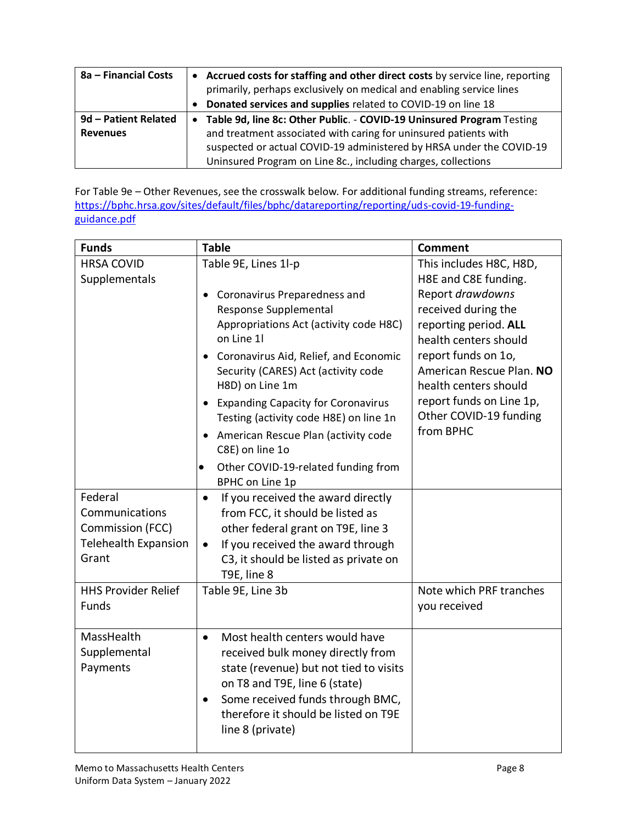| 8a – Financial Costs |           | • Accrued costs for staffing and other direct costs by service line, reporting<br>primarily, perhaps exclusively on medical and enabling service lines |  |
|----------------------|-----------|--------------------------------------------------------------------------------------------------------------------------------------------------------|--|
|                      | $\bullet$ | Donated services and supplies related to COVID-19 on line 18                                                                                           |  |
| 9d - Patient Related |           | • Table 9d, line 8c: Other Public. - COVID-19 Uninsured Program Testing                                                                                |  |
| <b>Revenues</b>      |           | and treatment associated with caring for uninsured patients with                                                                                       |  |
|                      |           | suspected or actual COVID-19 administered by HRSA under the COVID-19                                                                                   |  |
|                      |           | Uninsured Program on Line 8c., including charges, collections                                                                                          |  |

For Table 9e – Other Revenues, see the crosswalk below. For additional funding streams, reference: [https://bphc.hrsa.gov/sites/default/files/bphc/datareporting/reporting/uds-covid-19-funding](https://bphc.hrsa.gov/sites/default/files/bphc/datareporting/reporting/uds-covid-19-funding-guidance.pdf)[guidance.pdf](https://bphc.hrsa.gov/sites/default/files/bphc/datareporting/reporting/uds-covid-19-funding-guidance.pdf)

| <b>Funds</b>                                                                          | <b>Table</b>                                                                                                                                                                                                                                                                                                                                                                                                                                                       | <b>Comment</b>                                                                                                                                                                                                                                                                              |
|---------------------------------------------------------------------------------------|--------------------------------------------------------------------------------------------------------------------------------------------------------------------------------------------------------------------------------------------------------------------------------------------------------------------------------------------------------------------------------------------------------------------------------------------------------------------|---------------------------------------------------------------------------------------------------------------------------------------------------------------------------------------------------------------------------------------------------------------------------------------------|
| <b>HRSA COVID</b><br>Supplementals                                                    | Table 9E, Lines 1l-p<br>Coronavirus Preparedness and<br>Response Supplemental<br>Appropriations Act (activity code H8C)<br>on Line 1l<br>Coronavirus Aid, Relief, and Economic<br>Security (CARES) Act (activity code<br>H8D) on Line 1m<br><b>Expanding Capacity for Coronavirus</b><br>Testing (activity code H8E) on line 1n<br>• American Rescue Plan (activity code<br>C8E) on line 1o<br>Other COVID-19-related funding from<br>$\bullet$<br>BPHC on Line 1p | This includes H8C, H8D,<br>H8E and C8E funding.<br>Report drawdowns<br>received during the<br>reporting period. ALL<br>health centers should<br>report funds on 1o,<br>American Rescue Plan. NO<br>health centers should<br>report funds on Line 1p,<br>Other COVID-19 funding<br>from BPHC |
| Federal<br>Communications<br>Commission (FCC)<br><b>Telehealth Expansion</b><br>Grant | If you received the award directly<br>$\bullet$<br>from FCC, it should be listed as<br>other federal grant on T9E, line 3<br>If you received the award through<br>$\bullet$<br>C3, it should be listed as private on<br>T9E, line 8                                                                                                                                                                                                                                |                                                                                                                                                                                                                                                                                             |
| <b>HHS Provider Relief</b><br>Funds                                                   | Table 9E, Line 3b                                                                                                                                                                                                                                                                                                                                                                                                                                                  | Note which PRF tranches<br>you received                                                                                                                                                                                                                                                     |
| MassHealth<br>Supplemental<br>Payments                                                | Most health centers would have<br>$\bullet$<br>received bulk money directly from<br>state (revenue) but not tied to visits<br>on T8 and T9E, line 6 (state)<br>Some received funds through BMC,<br>$\bullet$<br>therefore it should be listed on T9E<br>line 8 (private)                                                                                                                                                                                           |                                                                                                                                                                                                                                                                                             |